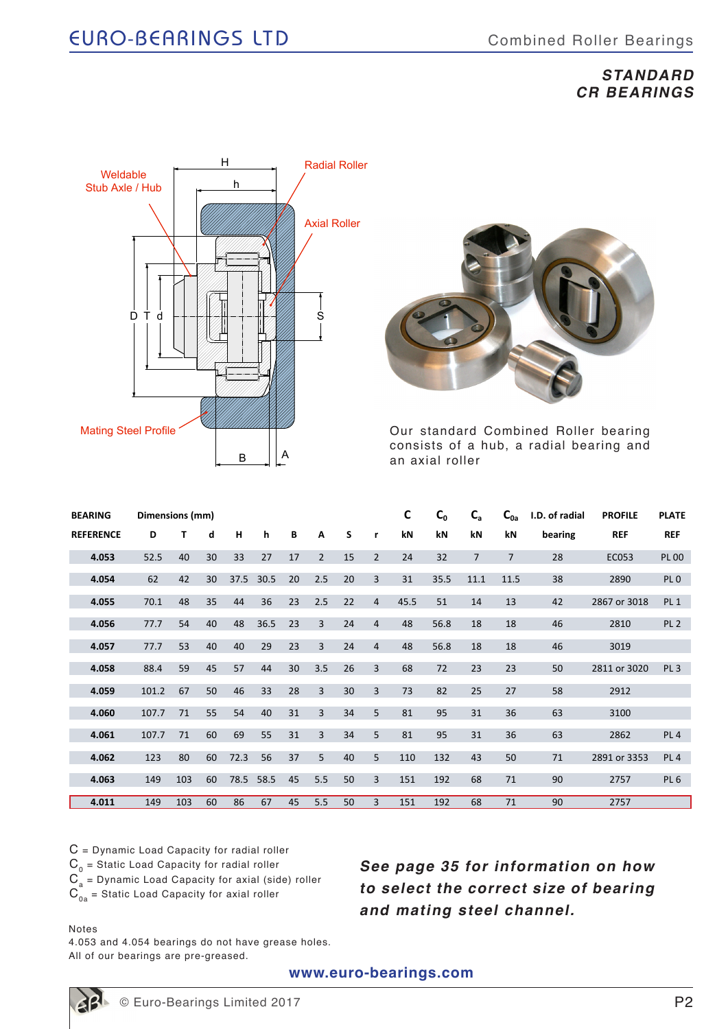## **STANDARD CR BEARINGS**





Our standard Combined Roller bearing consists of a hub, a radial bearing and an axial roller

| <b>BEARING</b>   | Dimensions (mm) |     |    |      |      |    |                |    |                | $\mathsf{C}$ | C <sub>0</sub> | $C_{a}$        | $C_{0a}$       | I.D. of radial | <b>PROFILE</b> | <b>PLATE</b>    |
|------------------|-----------------|-----|----|------|------|----|----------------|----|----------------|--------------|----------------|----------------|----------------|----------------|----------------|-----------------|
| <b>REFERENCE</b> | D               | т   | d  | н    | h    | B  | A              | S  | r              | kN           | kN             | kN             | kN             | bearing        | <b>REF</b>     | <b>REF</b>      |
| 4.053            | 52.5            | 40  | 30 | 33   | 27   | 17 | $\overline{2}$ | 15 | $\overline{2}$ | 24           | 32             | $\overline{7}$ | $\overline{7}$ | 28             | EC053          | <b>PL 00</b>    |
| 4.054            | 62              | 42  | 30 | 37.5 | 30.5 | 20 | 2.5            | 20 | $\overline{3}$ | 31           | 35.5           | 11.1           | 11.5           | 38             | 2890           | PL <sub>0</sub> |
| 4.055            | 70.1            | 48  | 35 | 44   | 36   | 23 | 2.5            | 22 | $\overline{4}$ | 45.5         | 51             | 14             | 13             | 42             | 2867 or 3018   | PL <sub>1</sub> |
| 4.056            | 77.7            | 54  | 40 | 48   | 36.5 | 23 | $\overline{3}$ | 24 | 4              | 48           | 56.8           | 18             | 18             | 46             | 2810           | PL <sub>2</sub> |
| 4.057            | 77.7            | 53  | 40 | 40   | 29   | 23 | 3              | 24 | 4              | 48           | 56.8           | 18             | 18             | 46             | 3019           |                 |
| 4.058            | 88.4            | 59  | 45 | 57   | 44   | 30 | 3.5            | 26 | 3              | 68           | 72             | 23             | 23             | 50             | 2811 or 3020   | PL <sub>3</sub> |
| 4.059            | 101.2           | 67  | 50 | 46   | 33   | 28 | 3              | 30 | 3              | 73           | 82             | 25             | 27             | 58             | 2912           |                 |
| 4.060            | 107.7           | 71  | 55 | 54   | 40   | 31 | $\overline{3}$ | 34 | 5              | 81           | 95             | 31             | 36             | 63             | 3100           |                 |
| 4.061            | 107.7           | 71  | 60 | 69   | 55   | 31 | 3              | 34 | 5              | 81           | 95             | 31             | 36             | 63             | 2862           | PL <sub>4</sub> |
| 4.062            | 123             | 80  | 60 | 72.3 | 56   | 37 | 5              | 40 | 5              | 110          | 132            | 43             | 50             | 71             | 2891 or 3353   | PL <sub>4</sub> |
| 4.063            | 149             | 103 | 60 | 78.5 | 58.5 | 45 | 5.5            | 50 | 3              | 151          | 192            | 68             | 71             | 90             | 2757           | PL <sub>6</sub> |
| 4.011            | 149             | 103 | 60 | 86   | 67   | 45 | 5.5            | 50 | 3              | 151          | 192            | 68             | 71             | 90             | 2757           |                 |

C = Dynamic Load Capacity for radial roller  $C_0$  = Static Load Capacity for radial roller  $C_a$  = Dynamic Load Capacity for axial (side) roller  $\overline{C}_{0a}$  = Static Load Capacity for axial roller

**See page 35 for information on how to select the correct size of bearing and mating steel channel.**

#### Notes

4.053 and 4.054 bearings do not have grease holes. All of our bearings are pre-greased.

**www.euro-bearings.com**